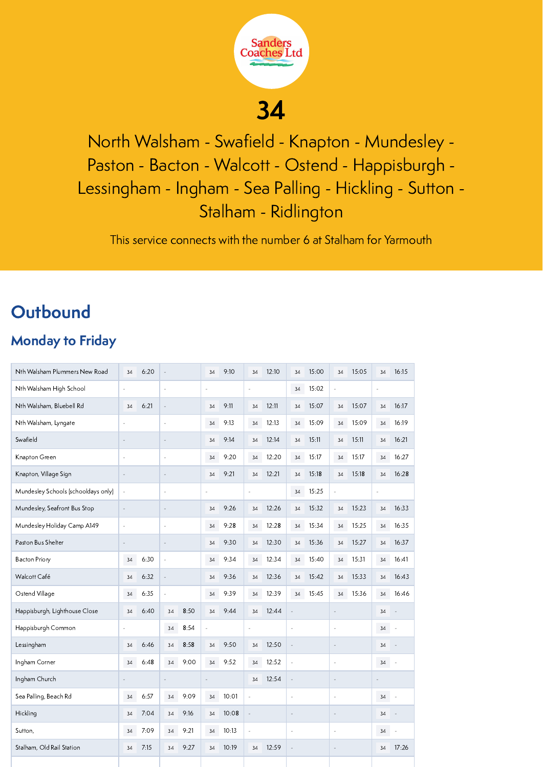

North Walsham - Swafield - Knapton - Mundesley - Paston - Bacton - Walcott - Ostend - Happisburgh - Lessingham - Ingham - Sea Palling - Hickling - Sutton - Stalham - Ridlington

This service connects with the number 6 at Stalham for Yarmouth

## **Outbound**

### Monday to Friday

| Nth Walsham Plummers New Road       | 34                       | 6:20 |                          |      | 34             | 9:10  | 34                       | 12:10 | 34                       | 15:00 | 34             | 15:05 | 34 | 16:15 |
|-------------------------------------|--------------------------|------|--------------------------|------|----------------|-------|--------------------------|-------|--------------------------|-------|----------------|-------|----|-------|
| Nth Walsham High School             | ÷,                       |      | ÷,                       |      | Ē,             |       | l,                       |       | 34                       | 15:02 | ÷,             |       | ÷, |       |
| Nth Walsham, Bluebell Rd            | 34                       | 6:21 | ÷,                       |      | 34             | 9:11  | 34                       | 12:11 | 34                       | 15:07 | 34             | 15:07 | 34 | 16:17 |
| Nth Walsham, Lyngate                | J.                       |      | $\sim$                   |      | 34             | 9:13  | 34                       | 12:13 | 34                       | 15:09 | 34             | 15:09 | 34 | 16:19 |
| Swafield                            | $\overline{\phantom{a}}$ |      |                          |      | 34             | 9:14  | 34                       | 12:14 | 34                       | 15:11 | 34             | 15:11 | 34 | 16:21 |
| Knapton Green                       | ł,                       |      |                          |      | 34             | 9:20  | 34                       | 12:20 | 34                       | 15:17 | 34             | 15:17 | 34 | 16:27 |
| Knapton, Village Sign               | $\frac{1}{2}$            |      | $\sim$                   |      | 34             | 9:21  | 34                       | 12:21 | 34                       | 15:18 | 34             | 15:18 | 34 | 16:28 |
| Mundesley Schools (schooldays only) | $\overline{\phantom{a}}$ |      | ä,                       |      | ł,             |       | l,                       |       | 34                       | 15:25 | i,             |       | ä, |       |
| Mundesley, Seafront Bus Stop        | $\frac{1}{2}$            |      |                          |      | 34             | 9:26  | 34                       | 12:26 | 34                       | 15:32 | 34             | 15:23 | 34 | 16:33 |
| Mundesley Holiday Camp A149         | ×,                       |      | $\sim$                   |      | 34             | 9:28  | 34                       | 12:28 | 34                       | 15:34 | 34             | 15:25 | 34 | 16:35 |
| Paston Bus Shelter                  |                          |      |                          |      | 34             | 9:30  | 34                       | 12:30 | 34                       | 15:36 | 34             | 15:27 | 34 | 16:37 |
| <b>Bacton Priory</b>                | 34                       | 6:30 | ÷,                       |      | 34             | 9:34  | 34                       | 12:34 | 34                       | 15:40 | 34             | 15:31 | 34 | 16:41 |
| Walcott Café                        | 34                       | 6:32 |                          |      | 34             | 9:36  | 34                       | 12:36 | 34                       | 15:42 | 34             | 15:33 | 34 | 16:43 |
| Ostend Village                      | 34                       | 6:35 | $\overline{\phantom{a}}$ |      | 34             | 9:39  | 34                       | 12:39 | 34                       | 15:45 | 34             | 15:36 | 34 | 16:46 |
| Happisburgh, Lighthouse Close       | 34                       | 6:40 | 34                       | 8:50 | 34             | 9:44  | 34                       | 12:44 | i.                       |       | ä,             |       | 34 |       |
| Happisburgh Common                  | J,                       |      | 34                       | 8:54 | $\overline{a}$ |       | Ĭ.                       |       | J.                       |       | J.             |       | 34 |       |
| Lessingham                          | 34                       | 6:46 | 34                       | 8:58 | 34             | 9:50  | 34                       | 12:50 | $\overline{\phantom{a}}$ |       | $\frac{1}{2}$  |       | 34 | i,    |
| Ingham Corner                       | 34                       | 6:48 | 34                       | 9:00 | 34             | 9:52  | 34                       | 12:52 | $\overline{\phantom{a}}$ |       | $\overline{a}$ |       | 34 | Ĭ.    |
| Ingham Church                       |                          |      |                          |      | L,             |       | 34                       | 12:54 | $\Box$                   |       | ÷,             |       |    |       |
| Sea Palling, Beach Rd               | 34                       | 6:57 | 34                       | 9:09 | 34             | 10:01 | $\overline{a}$           |       | J.                       |       | ÷,             |       | 34 |       |
| Hickling                            | 34                       | 7:04 | 34                       | 9:16 | 34             | 10:08 | $\overline{\phantom{a}}$ |       | ÷,                       |       | ÷,             |       | 34 |       |
| Sutton,                             | 34                       | 7:09 | 34                       | 9:21 | 34             | 10:13 | L,                       |       | ÷,                       |       | L,             |       | 34 | L,    |
| Stalham, Old Rail Station           | 34                       | 7:15 | 34                       | 9:27 | 34             | 10:19 | 34                       | 12:59 | $\Box$                   |       | $\sim$         |       | 34 | 17:26 |
|                                     |                          |      |                          |      |                |       |                          |       |                          |       |                |       |    |       |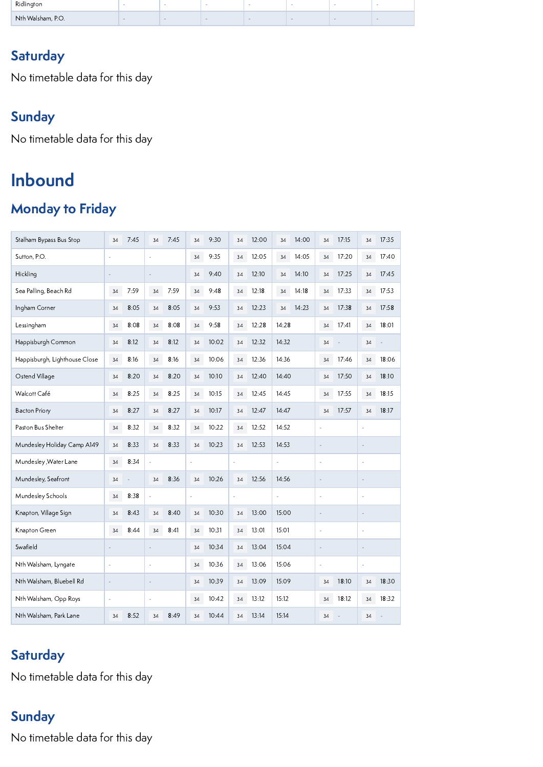| Ridlinaton        | - | . . | . . | -- | - |  |
|-------------------|---|-----|-----|----|---|--|
| Nth Walsham, P.O. |   |     |     |    |   |  |

### **Saturday**

No timetable data for this day

### Sunday

No timetable data for this day

# Inbound

### Monday to Friday

| Stalham Bypass Bus Stop       | 34                       | 7:45 | 34             | 7:45 | 34        | 9:30  | 34          | 12:00 | 34    | 14:00 | 34            | 17:15 | 34                       | 17:35 |  |
|-------------------------------|--------------------------|------|----------------|------|-----------|-------|-------------|-------|-------|-------|---------------|-------|--------------------------|-------|--|
| Sutton, P.O.                  | ÷,                       | ÷    |                |      |           | 9:35  | 34          | 12:05 | 34    | 14:05 | 34            | 17:20 | 34                       | 17:40 |  |
| Hickling                      | ÷,                       |      | $\overline{a}$ |      | 34        | 9:40  | 34          | 12:10 | 34    | 14:10 | 34            | 17:25 | 34                       | 17:45 |  |
| Sea Palling, Beach Rd         | 34                       | 7:59 | 7:59<br>34     |      | 34        | 9:48  | 34          | 12:18 | 34    | 14:18 | 34            | 17:33 | 34                       | 17:53 |  |
| Ingham Corner                 | 34                       | 8:05 | 34             | 8:05 | 34        | 9:53  | 34          | 12:23 | 34    | 14:23 | 34            | 17:38 | 34                       | 17:58 |  |
| Lessingham                    | 34                       | 8:08 | 34             | 8:08 | 34        | 9:58  | 34          | 12:28 | 14:28 |       | 34            | 17:41 | 34                       | 18:01 |  |
| Happisburgh Common            | 34                       | 8:12 | 34             | 8:12 | 34        | 10:02 | 34          | 12:32 | 14:32 |       | 34            |       | 34                       |       |  |
| Happisburgh, Lighthouse Close | 34                       | 8:16 | 34             | 8:16 | 34        | 10:06 | 34          | 12:36 | 14:36 |       | 34            | 17:46 | 34                       | 18:06 |  |
| Ostend Village                | 34                       | 8:20 | 34             | 8:20 | 34        | 10:10 | 34          | 12:40 | 14:40 |       | 34            | 17:50 | 34                       | 18:10 |  |
| Walcott Café                  | 34                       | 8:25 | 34             | 8:25 | 34        | 10:15 | 34          | 12:45 | 14:45 |       | 34            | 17:55 | 34                       | 18:15 |  |
| <b>Bacton Priory</b>          | 34                       | 8:27 | 34             | 8:27 | 34        | 10:17 | 34          | 12:47 | 14:47 |       | 34            | 17:57 | 34                       | 18:17 |  |
| Paston Bus Shelter            | 34                       | 8:32 | 8:32<br>34     |      | 34        | 10:22 | 34          | 12:52 | 14:52 |       | ä,            |       | $\ddot{\phantom{1}}$     |       |  |
| Mundesley Holiday Camp A149   | 34                       | 8:33 | 8:33<br>34     |      | 34        | 10:23 | 34          | 12:53 | 14:53 |       | L,            |       | ÷,                       |       |  |
| Mundesley , Water Lane        | 34                       | 8:34 | ÷,             |      | ä,        |       |             | ä,    |       | ä,    |               | ä,    |                          | J.    |  |
| Mundesley, Seafront           | 34                       |      | 8:36<br>34     |      | 34        | 10:26 | 12:56<br>34 |       | 14:56 |       | $\frac{1}{2}$ |       |                          |       |  |
| Mundesley Schools             | 34                       | 8:38 | $\blacksquare$ |      | $\bar{a}$ |       | ä,          |       | ä,    |       | ä,            |       | ä,                       |       |  |
| Knapton, Village Sign         | 34                       | 8:43 | 34             | 8:40 | 34        | 10:30 | 13:00<br>34 |       | 15:00 |       | i.            |       |                          |       |  |
| Knapton Green                 | 34                       | 8:44 | 8:41<br>34     |      | 34        | 10:31 | 34          | 13:01 | 15:01 |       | J,            |       |                          |       |  |
| Swafield                      | ×,                       |      | $\sim$         |      | 34        | 10:34 | 34          | 13:04 | 15:04 |       | ä,            |       | ÷,                       |       |  |
| Nth Walsham, Lyngate          | $\overline{\phantom{a}}$ |      | ä,             |      | 34        | 10:36 | 34          | 13:06 | 15:06 |       | ä,            |       | $\overline{\phantom{a}}$ |       |  |
| Nth Walsham, Bluebell Rd      |                          |      |                |      | 34        | 10:39 | 34          | 13:09 | 15:09 |       | 34            | 18:10 | 34                       | 18:30 |  |
| Nth Walsham, Opp Roys         | ÷,                       |      | ä,             |      | 34        | 10:42 | 34          | 13:12 | 15:12 |       |               | 18:12 | 34                       | 18:32 |  |
| Nth Walsham, Park Lane        | 34                       | 8:52 | 34             | 8:49 | 34        | 10:44 | 34          | 13:14 | 15:14 |       | 34            |       | 34                       |       |  |

### **Saturday**

No timetable data for this day

### Sunday

No timetable data for this day